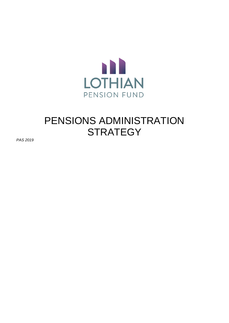

# PENSIONS ADMINISTRATION **STRATEGY**

*PAS 2019*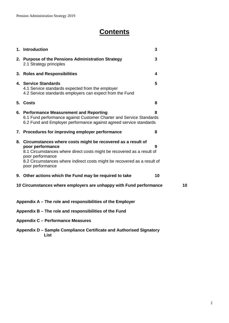## **Contents**

| 1. Introduction                                                                                                                                                                                                                                                                  | 3  |
|----------------------------------------------------------------------------------------------------------------------------------------------------------------------------------------------------------------------------------------------------------------------------------|----|
| 2. Purpose of the Pensions Administration Strategy<br>2.1 Strategy principles                                                                                                                                                                                                    | 3  |
| 3. Roles and Responsibilities                                                                                                                                                                                                                                                    | 4  |
| 4. Service Standards<br>4.1 Service standards expected from the employer<br>4.2 Service standards employers can expect from the Fund                                                                                                                                             | 5  |
| 5. Costs                                                                                                                                                                                                                                                                         | 8  |
| 6. Performance Measurement and Reporting<br>6.1 Fund performance against Customer Charter and Service Standards<br>6.2 Fund and Employer performance against agreed service standards                                                                                            | 8  |
| 7. Procedures for improving employer performance                                                                                                                                                                                                                                 | 8  |
| 8. Circumstances where costs might be recovered as a result of<br>poor performance<br>8.1 Circumstances where direct costs might be recovered as a result of<br>poor performance<br>8.2 Circumstances where indirect costs might be recovered as a result of<br>poor performance | 9  |
| 9. Other actions which the Fund may be required to take                                                                                                                                                                                                                          | 10 |
| 10 Circumstances where employers are unhappy with Fund performance                                                                                                                                                                                                               | 10 |
| Appendix A – The role and responsibilities of the Employer                                                                                                                                                                                                                       |    |
| Appendix B - The role and responsibilities of the Fund                                                                                                                                                                                                                           |    |
| <b>Appendix C - Performance Measures</b>                                                                                                                                                                                                                                         |    |
|                                                                                                                                                                                                                                                                                  |    |

**Appendix D – Sample Compliance Certificate and Authorised Signatory List**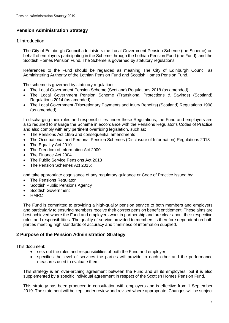## **Pension Administration Strategy**

#### **1** Introduction

The City of Edinburgh Council administers the Local Government Pension Scheme (the Scheme) on behalf of employers participating in the Scheme through the Lothian Pension Fund (the Fund), and the Scottish Homes Pension Fund. The Scheme is governed by statutory regulations.

References to the Fund should be regarded as meaning The City of Edinburgh Council as Administering Authority of the Lothian Pension Fund and Scottish Homes Pension Fund.

The scheme is governed by statutory regulations:

- The Local Government Pension Scheme (Scotland) Regulations 2018 (as amended);
- The Local Government Pension Scheme (Transitional Protections & Savings) (Scotland) Regulations 2014 (as amended);
- The Local Government (Discretionary Payments and Injury Benefits) (Scotland) Regulations 1998 (as amended).

In discharging their roles and responsibilities under these Regulations, the Fund and employers are also required to manage the Scheme in accordance with the Pensions Regulator's Codes of Practice and also comply with any pertinent overriding legislation, such as:

- The Pensions Act 1995 and consequential amendments
- The Occupational and Personal Pension Schemes (Disclosure of Information) Regulations 2013
- The Equality Act 2010
- The Freedom of Information Act 2000
- The Finance Act 2004
- The Public Service Pensions Act 2013
- The Pension Schemes Act 2015;

and take appropriate cognisance of any regulatory guidance or Code of Practice issued by:

- The Pensions Regulator
- Scottish Public Pensions Agency
- Scottish Government
- HMRC

The Fund is committed to providing a high-quality pension service to both members and employers and particularly to ensuring members receive their correct pension benefit entitlement. These aims are best achieved where the Fund and employers work in partnership and are clear about their respective roles and responsibilities. The quality of service provided to members is therefore dependent on both parties meeting high standards of accuracy and timeliness of information supplied.

#### **2 Purpose of the Pension Administration Strategy**

This document:

- sets out the roles and responsibilities of both the Fund and employer:
- specifies the level of services the parties will provide to each other and the performance measures used to evaluate them.

This strategy is an over-arching agreement between the Fund and all its employers, but it is also supplemented by a specific individual agreement in respect of the Scottish Homes Pension Fund.

This strategy has been produced in consultation with employers and is effective from 1 September 2019. The statement will be kept under review and revised where appropriate. Changes will be subject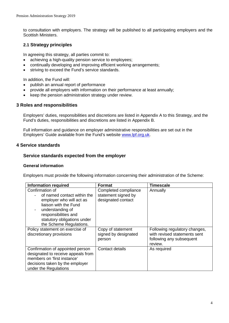to consultation with employers. The strategy will be published to all participating employers and the Scottish Ministers.

## **2.1 Strategy principles**

In agreeing this strategy, all parties commit to:

- achieving a high-quality pension service to employees;
- continually developing and improving efficient working arrangements;
- striving to exceed the Fund's service standards.

In addition, the Fund will:

- publish an annual report of performance
- provide all employers with information on their performance at least annually;
- keep the pension administration strategy under review.

#### **3 Roles and responsibilities**

Employers' duties, responsibilities and discretions are listed in Appendix A to this Strategy, and the Fund's duties, responsibilities and discretions are listed in Appendix B.

Full information and guidance on employer administrative responsibilities are set out in the Employers' Guide available from the Fund's website [www.lpf.org.uk.](http://www.lpf.org.uk/)

#### **4 Service standards**

#### **Service standards expected from the employer**

#### **General information**

Employers must provide the following information concerning their administration of the Scheme:

| <b>Information required</b>                                                                                                                                                                               | <b>Format</b>                                                     | <b>Timescale</b>                                                                                     |
|-----------------------------------------------------------------------------------------------------------------------------------------------------------------------------------------------------------|-------------------------------------------------------------------|------------------------------------------------------------------------------------------------------|
| Confirmation of<br>of named contact within the<br>employer who will act as<br>liaison with the Fund<br>understanding of<br>responsibilities and<br>statutory obligations under<br>the Scheme Regulations. | Completed compliance<br>statement signed by<br>designated contact | Annually                                                                                             |
| Policy statement on exercise of<br>discretionary provisions                                                                                                                                               | Copy of statement<br>signed by designated<br>person               | Following regulatory changes,<br>with revised statements sent<br>following any subsequent<br>review. |
| Confirmation of appointed person<br>designated to receive appeals from<br>members on 'first instance'<br>decisions taken by the employer<br>under the Regulations                                         | Contact details                                                   | As required                                                                                          |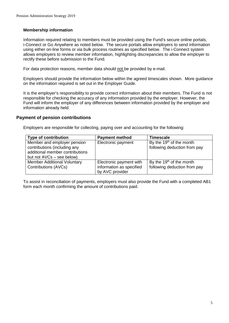#### **Membership information**

Information required relating to members must be provided using the Fund's secure online portals, i-Connect or Go Anywhere as noted below. The secure portals allow employers to send information using either on-line forms or via bulk process routines as specified below. The i-Connect system allows employers to review member information, highlighting discrepancies to allow the employer to rectify these before submission to the Fund.

For data protection reasons, member data should not be provided by e-mail.

Employers should provide the information below within the agreed timescales shown. More guidance on the information required is set out in the Employer Guide.

It is the employer's responsibility to provide correct information about their members. The Fund is not responsible for checking the accuracy of any information provided by the employer. However, the Fund will inform the employer of any differences between information provided by the employer and information already held.

#### **Payment of pension contributions**

Employers are responsible for collecting, paying over and accounting for the following:

| <b>Type of contribution</b>        | <b>Payment method</b>    | <b>Timescale</b>                     |
|------------------------------------|--------------------------|--------------------------------------|
| Member and employer pension        | Electronic payment       | By the $19th$ of the month           |
| contributions (including any       |                          | following deduction from pay         |
| additional member contributions    |                          |                                      |
| but not AVCs – see below)          |                          |                                      |
| <b>Member Additional Voluntary</b> | Electronic payment with  | By the 19 <sup>th</sup> of the month |
| Contributions (AVCs)               | information as specified | following deduction from pay         |
|                                    | by AVC provider          |                                      |

To assist in reconciliation of payments, employers must also provide the Fund with a completed AB1 form each month confirming the amount of contributions paid.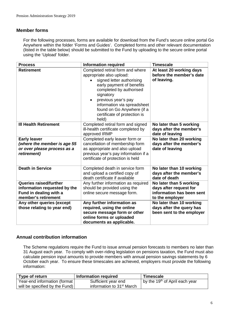## **Member forms**

For the following processes, forms are available for download from the Fund's secure online portal Go Anywhere within the folder 'Forms and Guides'. Completed forms and other relevant documentation (listed in the table below) should be submitted to the Fund by uploading to the secure online portal using the 'Upload' folder.

| <b>Process</b>                                                                                          | <b>Information required</b>                                                                                                                                                                                                                                                                 | <b>Timescale</b>                                                                                  |
|---------------------------------------------------------------------------------------------------------|---------------------------------------------------------------------------------------------------------------------------------------------------------------------------------------------------------------------------------------------------------------------------------------------|---------------------------------------------------------------------------------------------------|
| <b>Retirement</b>                                                                                       | Completed retiral form and where<br>appropriate also upload:<br>signed letter authorising<br>early payment of benefits<br>completed by authorised<br>signatory<br>previous year's pay<br>information via spreadsheet<br>found on Go Anywhere (if a<br>certificate of protection is<br>held) | At least 20 working days<br>before the member's date<br>of leaving.                               |
| <b>III Health Retirement</b>                                                                            | Completed retiral form and signed<br>ill-health certificate completed by<br>approved IRMP                                                                                                                                                                                                   | No later than 5 working<br>days after the member's<br>date of leaving                             |
| <b>Early leaver</b><br>(where the member is age 55<br>or over please process as a<br>retirement)        | Completed early leaver form or<br>cancellation of membership form<br>as appropriate and also upload<br>previous year's pay information if a<br>certificate of protection is held                                                                                                            | No later than 20 working<br>days after the member's<br>date of leaving                            |
| <b>Death in Service</b>                                                                                 | Completed death in service form<br>and upload a certified copy of<br>death certificate if available                                                                                                                                                                                         | No later than 10 working<br>days after the member's<br>date of death                              |
| Queries raised/further<br>information requested by the<br>Fund in dealing with a<br>member's retirement | Any further information as required<br>should be provided using the<br>online secure message form.                                                                                                                                                                                          | No later than 5 working<br>days after request for<br>information has been sent<br>to the employer |
| Any other queries (except<br>those relating to year end)                                                | Any further information as<br>required, using the online<br>secure message form or other<br>online forms or uploaded<br>documents as applicable.                                                                                                                                            | No later than 10 working<br>days after the query has<br>been sent to the employer                 |

#### **Annual contribution information**

The Scheme regulations require the Fund to issue annual pension forecasts to members no later than 31 August each year. To comply with over-riding legislation on pensions taxation, the Fund must also calculate pension input amounts to provide members with annual pension savings statements by 6 October each year. To ensure these timescales are achieved, employers must provide the following information:

| Type of return                 | Information required                  | <b>Timescale</b>                           |
|--------------------------------|---------------------------------------|--------------------------------------------|
| Year-end information (format)  | Sufficient year end                   | by the 19 <sup>th</sup> of April each year |
| will be specified by the Fund) | information to 31 <sup>st</sup> March |                                            |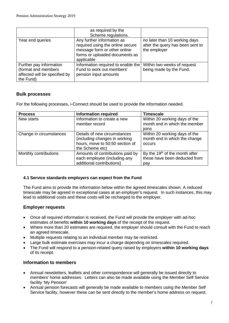|                                                                                              | as required by the<br>Scheme regulations.                                                                                                      |                                                                                   |
|----------------------------------------------------------------------------------------------|------------------------------------------------------------------------------------------------------------------------------------------------|-----------------------------------------------------------------------------------|
| Year end queries                                                                             | Any further information as<br>required using the online secure<br>message form or other online<br>forms or uploaded documents as<br>applicable | no later than 10 working days<br>after the query has been sent to<br>the employer |
| Further pay information<br>(format and members<br>affected will be specified by<br>the Fund) | Information required to enable the<br>Fund to work out members'<br>pension input amounts                                                       | Within two weeks of request<br>being made by the Fund.                            |

#### **Bulk processes**

For the following processes, i-Connect should be used to provide the information needed.

| <b>Process</b>          | <b>Information required</b>      | <b>Timescale</b>                           |
|-------------------------|----------------------------------|--------------------------------------------|
| New starts              | Information to create a new      | Within 20 working days of the              |
|                         | member record                    | month end in which the member              |
|                         |                                  | joins                                      |
| Change in circumstances | Details of new circumstances     | Within 20 working days of the              |
|                         | (including changes in working    | month end in which the change              |
|                         | hours, move to 50:50 section of  | occurs                                     |
|                         | the Scheme etc)                  |                                            |
| Monthly contributions   | Amounts of contributions paid by | By the 19 <sup>th</sup> of the month after |
|                         | each employee (including any     | these have been deducted from              |
|                         | additional contributions)        | pay                                        |

#### **4.1 Service standards employers can expect from the Fund**

The Fund aims to provide the information below within the agreed timescales shown. A reduced timescale may be agreed in exceptional cases at an employer's request. In such instances, this may lead to additional costs and these costs will be recharged to the employer.

#### **Employer requests**

- Once all required information is received, the Fund will provide the employer with ad-hoc estimates of benefits **within 10 working days** of the receipt of the request.
- Where more than 20 estimates are required, the employer should consult with the Fund to reach an agreed timescale.
- Multiple requests relating to an individual member may be restricted.
- Large bulk estimate exercises may incur a charge depending on timescales required.
- The Fund will respond to a pension-related query raised by employers **within 10 working days** of its receipt.

#### **Information to members**

- Annual newsletters, leaflets and other correspondence will generally be issued directly to members' home addresses. Letters can also be made available using the Member Self Service facility 'My Pension'
- Annual pension forecasts will generally be made available to members using the Member Self Service facility, however these can be sent directly to the member's home address on request.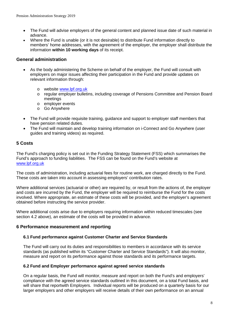- The Fund will advise employers of the general content and planned issue date of such material in advance.
- Where the Fund is unable (or it is not desirable) to distribute Fund information directly to members' home addresses, with the agreement of the employer, the employer shall distribute the information **within 10 working days** of its receipt.

## **General administration**

- As the body administering the Scheme on behalf of the employer, the Fund will consult with employers on major issues affecting their participation in the Fund and provide updates on relevant information through:
	- o website [www.lpf.org.uk](http://www.lpf.org.uk/)
	- o regular employer bulletins, including coverage of Pensions Committee and Pension Board meetings
	- o employer events
	- o Go Anywhere
- The Fund will provide requisite training, guidance and support to employer staff members that have pension related duties.
- The Fund will maintain and develop training information on i-Connect and Go Anywhere (user guides and training videos) as required.

## **5 Costs**

The Fund's charging policy is set out in the Funding Strategy Statement (FSS) which summarises the Fund's approach to funding liabilities. The FSS can be found on the Fund's website at [www.lpf.org.uk](http://www.lpf.org.uk/)

The costs of administration, including actuarial fees for routine work, are charged directly to the Fund. These costs are taken into account in assessing employers' contribution rates.

Where additional services (actuarial or other) are required by, or result from the actions of, the employer and costs are incurred by the Fund, the employer will be required to reimburse the Fund for the costs involved. Where appropriate, an estimate of these costs will be provided, and the employer's agreement obtained before instructing the service provider.

Where additional costs arise due to employers requiring information within reduced timescales (see section 4.2 above), an estimate of the costs will be provided in advance.

#### **6 Performance measurement and reporting**

#### **6.1 Fund performance against Customer Charter and Service Standards**

The Fund will carry out its duties and responsibilities to members in accordance with its service standards (as published within its "Customer Charter and Service Standards"). It will also monitor, measure and report on its performance against those standards and its performance targets.

#### **6.2 Fund and Employer performance against agreed service standards**

On a regular basis, the Fund will monitor, measure and report on both the Fund's and employers' compliance with the agreed service standards outlined in this document, on a total Fund basis, and will share that reportwith Employers. Individual reports will be produced on a quarterly basis for our larger employers and other employers will receive details of their own performance on an annual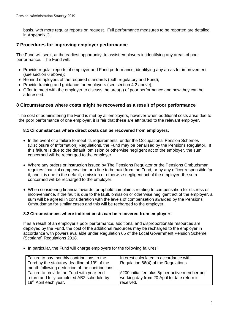basis, with more regular reports on request. Full performance measures to be reported are detailed in Appendix C.

## **7 Procedures for improving employer performance**

The Fund will seek, at the earliest opportunity, to assist employers in identifying any areas of poor performance. The Fund will:

- Provide regular reports of employer and Fund performance, identifying any areas for improvement (see section 6 above);
- Remind employers of the required standards (both regulatory and Fund);
- Provide training and guidance for employers (see section 4.2 above);
- Offer to meet with the employer to discuss the area(s) of poor performance and how they can be addressed.

#### **8 Circumstances where costs might be recovered as a result of poor performance**

The cost of administering the Fund is met by all employers, however when additional costs arise due to the poor performance of one employer, it is fair that these are attributed to the relevant employer.

#### **8.1 Circumstances where direct costs can be recovered from employers:**

- In the event of a failure to meet its requirements, under the Occupational Pension Schemes (Disclosure of Information) Regulations, the Fund may be penalised by the Pensions Regulator. If this failure is due to the default, omission or otherwise negligent act of the employer, the sum concerned will be recharged to the employer.
- Where any orders or instruction issued by The Pensions Regulator or the Pensions Ombudsman requires financial compensation or a fine to be paid from the Fund, or by any officer responsible for it, and it is due to the default, omission or otherwise negligent act of the employer, the sum concerned will be recharged to the employer.
- When considering financial awards for upheld complaints relating to compensation for distress or inconvenience, if the fault is due to the fault, omission or otherwise negligent act of the employer, a sum will be agreed in consideration with the levels of compensation awarded by the Pensions Ombudsman for similar cases and this will be recharged to the employer.

#### **8.2 Circumstances where indirect costs can be recovered from employers**

If as a result of an employer's poor performance, additional and disproportionate resources are deployed by the Fund, the cost of the additional resources may be recharged to the employer in accordance with powers available under Regulation 65 of the Local Government Pension Scheme (Scotland) Regulations 2018.

• In particular, the Fund will charge employers for the following failures:

| Failure to pay monthly contributions to the<br>Fund by the statutory deadline of 19 <sup>th</sup> of the<br>month following deduction of the contributions. | Interest calculated in accordance with<br>Regulation 66(4) of the Regulations |
|-------------------------------------------------------------------------------------------------------------------------------------------------------------|-------------------------------------------------------------------------------|
| Failure to provide the Fund with year-end                                                                                                                   | £200 initial fee plus 5p per active member per                                |
| return and fully completed AB2 schedule by                                                                                                                  | working day from 20 April to date return is                                   |
| 19 <sup>th</sup> April each year.                                                                                                                           | received.                                                                     |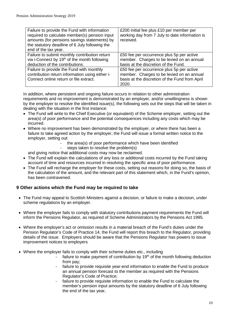| Failure to provide the Fund with information<br>required to calculate member(s) pension input<br>amounts (for pensions savings statements) by<br>the statutory deadline of 6 July following the<br>end of the tax year. | £200 initial fee plus £10 per member per<br>working day from 7 July to date information is<br>received.                                           |
|-------------------------------------------------------------------------------------------------------------------------------------------------------------------------------------------------------------------------|---------------------------------------------------------------------------------------------------------------------------------------------------|
| Failure to submit monthly contribution return<br>via i-Connect by 19 <sup>th</sup> of the month following<br>deduction of the contributions.                                                                            | £50 fee per occurrence plus 5p per active<br>member. Charges to be levied on an annual<br>basis at the discretion of the Fund.                    |
| Failure to provide the Fund with monthly<br>contribution return information using either i-<br>Connect online return or file extract.                                                                                   | £50 fee per occurrence plus 5p per active<br>member. Charges to be levied on an annual<br>basis at the discretion of the Fund from April<br>2020. |

In addition, where persistent and ongoing failure occurs in relation to other administration requirements and no improvement is demonstrated by an employer, and/or unwillingness is shown by the employer to resolve the identified issue(s), the following sets out the steps that will be taken in dealing with the situation in the first instance:

- The Fund will write to the Chief Executive (or equivalent) of the Scheme employer, setting out the area(s) of poor performance and the potential consequences including any costs which may be incurred.
- Where no improvement has been demonstrated by the employer, or where there has been a failure to take agreed action by the employer, the Fund will issue a formal written notice to the employer, setting out:
	- the area(s) of poor performance which have been identified
	- steps taken to resolve the problem(s)

and giving notice that additional costs may now be reclaimed.

- The Fund will explain the calculations of any loss or additional costs incurred by the Fund taking account of time and resources incurred in resolving the specific area of poor performance.
- The Fund will recharge the employer for these costs, setting out reasons for doing so, the basis of the calculation of the amount, and the relevant part of this statement which, in the Fund's opinion, has been contravened.

## **9 Other actions which the Fund may be required to take**

- The Fund may appeal to Scottish Ministers against a decision, or failure to make a decision, under scheme regulations by an employer.
- Where the employer fails to comply with statutory contributions payment requirements the Fund will inform the Pensions Regulator, as required of Scheme Administrators by the Pensions Act 1995.
- Where the employer's act or omission results in a material breach of the Fund's duties under the Pension Regulator's Code of Practice 14, the Fund will report this breach to the Regulator, providing details of the issue. Employers should be aware that the Pensions Regulator has powers to issue improvement notices to employers
- Where the employer fails to comply with their scheme duties etc., including
	- failure to make payment of contribution by  $19<sup>th</sup>$  of the month following deduction from pay;
	- failure to provide requisite year-end information to enable the Fund to produce an annual pension forecast to the member as required with the Pensions Regulator's Code of Practice;
	- failure to provide requisite information to enable the Fund to calculate the member's pension input amounts by the statutory deadline of 6 July following the end of the tax year,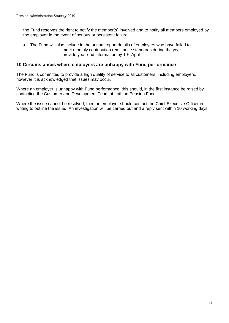the Fund reserves the right to notify the member(s) involved and to notify all members employed by the employer in the event of serious or persistent failure.

- The Fund will also include in the annual report details of emplovers who have failed to:
	- meet monthly contribution remittance standards during the year<br>- provide vear-end information by 19<sup>th</sup> April
		- provide year-end information by 19<sup>th</sup> April

#### **10 Circumstances where employers are unhappy with Fund performance**

The Fund is committed to provide a high quality of service to all customers, including employers, however it is acknowledged that issues may occur.

Where an employer is unhappy with Fund performance, this should, in the first instance be raised by contacting the Customer and Development Team at Lothian Pension Fund.

Where the issue cannot be resolved, then an employer should contact the Chief Executive Officer in writing to outline the issue. An investigation will be carried out and a reply sent within 10 working days.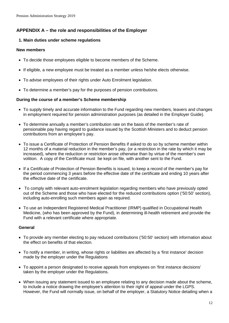## **APPENDIX A – the role and responsibilities of the Employer**

#### **1. Main duties under scheme regulations**

#### **New members**

- To decide those employees eligible to become members of the Scheme.
- If eligible, a new employee must be treated as a member unless he/she elects otherwise.
- To advise employees of their rights under Auto Enrolment legislation.
- To determine a member's pay for the purposes of pension contributions.

#### **During the course of a member's Scheme membership**

- To supply timely and accurate information to the Fund regarding new members, leavers and changes in employment required for pension administration purposes (as detailed in the Employer Guide).
- To determine annually a member's contribution rate on the basis of the member's rate of pensionable pay having regard to guidance issued by the Scottish Ministers and to deduct pension contributions from an employee's pay.
- To issue a Certificate of Protection of Pension Benefits if asked to do so by scheme member within 12 months of a material reduction in the member's pay, (or a restriction in the rate by which it may be increased), where the reduction or restriction arose otherwise than by virtue of the member's own volition. A copy of the Certificate must be kept on file, with another sent to the Fund.
- If a Certificate of Protection of Pension Benefits is issued, to keep a record of the member's pay for the period commencing 3 years before the effective date of the certificate and ending 10 years after the effective date of the certificate.
- To comply with relevant auto-enrolment legislation regarding members who have previously opted out of the Scheme and those who have elected for the reduced contributions option ('50:50' section), including auto-enrolling such members again as required.
- To use an Independent Registered Medical Practitioner (IRMP) qualified in Occupational Health Medicine, (who has been approved by the Fund), in determining ill-health retirement and provide the Fund with a relevant certificate where appropriate.

#### **General**

- To provide any member electing to pay reduced contributions ('50:50' section) with information about the effect on benefits of that election.
- To notify a member, in writing, whose rights or liabilities are affected by a 'first instance' decision made by the employer under the Regulations
- To appoint a person designated to receive appeals from employees on 'first instance decisions' taken by the employer under the Regulations.
- When issuing any statement issued to an employee relating to any decision made about the scheme, to include a notice drawing the employee's attention to their right of appeal under the LGPS. However, the Fund will normally issue, on behalf of the employer, a Statutory Notice detailing when a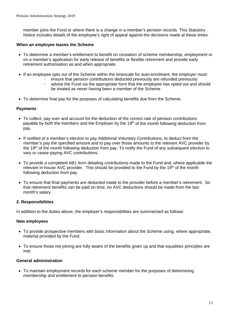member joins the Fund or where there is a change in a member's pension records. This Statutory Notice includes details of the employee's right of appeal against the decisions made at these times.

#### **When an employee leaves the Scheme**

- To determine a member's entitlement to benefit on cessation of scheme membership, employment or on a member's application for early release of benefits or flexible retirement and provide early retirement authorisation as and when appropriate.
- If an employee opts out of the Scheme within the timescale for auto-enrolment, the employer must:
	- ensure that pension contributions deducted previously are refunded previously
		- advise the Fund via the appropriate form that the employee has opted out and should be treated as never having been a member of the Scheme
- To determine final pay for the purposes of calculating benefits due from the Scheme.

#### **Payments**

- To collect, pay over and account for the deduction of the correct rate of pension contributions payable by both the members and the Employer by the 19<sup>th</sup> of the month following deduction from pay.
- If notified of a member's election to pay Additional Voluntary Contributions, to deduct from the member's pay the specified amount and to pay over those amounts to the relevant AVC provider by the 19<sup>th</sup> of the month following deduction from pay. To notify the Fund of any subsequent election to vary or cease paying AVC contributions.
- To provide a completed AB1 form detailing contributions made to the Fund and, where applicable the relevant in-house AVC provider. This should be provided to the Fund by the 19th of the month following deduction from pay.
- To ensure that final payments are deducted made to the provider before a member's retirement. So that retirement benefits can be paid on time, no AVC deductions should be made from the last month's salary.

#### **2. Responsibilities**

In addition to the duties above, the employer's responsibilities are summarised as follows:

#### **New employees**

- To provide prospective members with basic information about the Scheme using, where appropriate, material provided by the Fund.
- To ensure those not joining are fully aware of the benefits given up and that equalities principles are met.

#### **General administration**

• To maintain employment records for each scheme member for the purposes of determining membership and entitlement to pension benefits.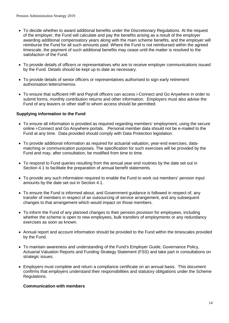- To decide whether to award additional benefits under the Discretionary Regulations. At the request of the employer, the Fund will calculate and pay the benefits arising as a result of the employer awarding additional compensatory years along with the main scheme benefits, and the employer will reimburse the Fund for all such amounts paid. Where the Fund is not reimbursed within the agreed timescale, the payment of such additional benefits may cease until the matter is resolved to the satisfaction of the Fund.
- To provide details of officers or representatives who are to receive employer communications issued by the Fund. Details should be kept up to date as necessary.
- To provide details of senior officers or representatives authorised to sign early retirement authorisation letters/memos.
- To ensure that sufficient HR and Payroll officers can access i-Connect and Go Anywhere in order to submit forms, monthly contribution returns and other information. Employers must also advise the Fund of any leavers or other staff to whom access should be permitted.

#### **Supplying information to the Fund**

- To ensure all information is provided as required regarding members' employment, using the secure online i-Connect and Go Anywhere portals. Personal member data should not be e-mailed to the Fund at any time. Data provided should comply with Data Protection legislation.
- To provide additional information as required for actuarial valuation, year-end exercises, datamatching or communication purposes. The specification for such exercises will be provided by the Fund and may, after consultation, be modified from time to time.
- To respond to Fund queries resulting from the annual year end routines by the date set out in Section 4.1 to facilitate the preparation of annual benefit statements.
- To provide any such information required to enable the Fund to work out members' pension input amounts by the date set out in Section 4.1.
- To ensure the Fund is informed about, and Government guidance is followed in respect of, any transfer of members in respect of an outsourcing of service arrangement, and any subsequent changes to that arrangement which would impact on those members.
- To inform the Fund of any planned changes to their pension provision for employees, including whether the scheme is open to new employees, bulk transfers of employments or any redundancy exercises as soon as known.
- Annual report and account information should be provided to the Fund within the timescales provided by the Fund.
- To maintain awareness and understanding of the Fund's Employer Guide, Governance Policy, Actuarial Valuation Reports and Funding Strategy Statement (FSS) and take part in consultations on strategic issues.
- Employers must complete and return a compliance certificate on an annual basis. This document confirms that employers understand their responsibilities and statutory obligations under the Scheme Regulations.

#### **Communication with members**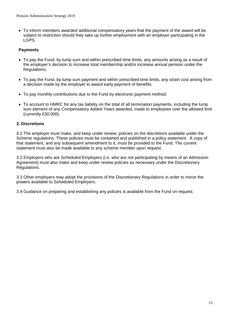• To inform members awarded additional compensatory years that the payment of the award will be subject to restriction should they take up further employment with an employer participating in the LGPS.

#### **Payments**

- To pay the Fund, by lump sum and within prescribed time limits, any amounts arising as a result of the employer's decision to increase total membership and/or increase annual pension under the Regulations.
- To pay the Fund, by lump sum payment and within prescribed time limits, any strain cost arising from a decision made by the employer to award early payment of benefits.
- To pay monthly contributions due to the Fund by electronic payment method.
- To account to HMRC for any tax liability on the total of all termination payments, including the lump sum element of any Compensatory Added Years awarded, made to employees over the allowed limit (currently £30,000).

#### **3. Discretions**

3.1 The employer must make, and keep under review, policies on the discretions available under the Scheme regulations. These policies must be contained and published in a policy statement. A copy of that statement, and any subsequent amendment to it, must be provided to the Fund. The current statement must also be made available to any scheme member upon request.

3.2 Employers who are Scheduled Employers (i.e. who are not participating by means of an Admission Agreement) must also make and keep under review policies as necessary under the Discretionary Regulations.

3.3 Other employers may adopt the provisions of the Discretionary Regulations in order to mirror the powers available to Scheduled Employers.

3.4 Guidance on preparing and establishing any policies is available from the Fund on request.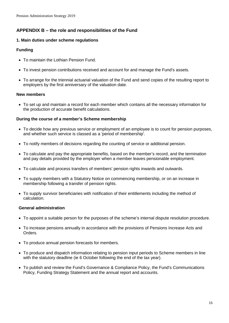## **APPENDIX B – the role and responsibilities of the Fund**

#### **1. Main duties under scheme regulations**

#### **Funding**

- To maintain the Lothian Pension Fund.
- To invest pension contributions received and account for and manage the Fund's assets.
- To arrange for the triennial actuarial valuation of the Fund and send copies of the resulting report to employers by the first anniversary of the valuation date.

#### **New members**

• To set up and maintain a record for each member which contains all the necessary information for the production of accurate benefit calculations.

#### **During the course of a member's Scheme membership**

- To decide how any previous service or employment of an employee is to count for pension purposes, and whether such service is classed as a 'period of membership'.
- To notify members of decisions regarding the counting of service or additional pension.
- To calculate and pay the appropriate benefits, based on the member's record, and the termination and pay details provided by the employer when a member leaves pensionable employment.
- To calculate and process transfers of members' pension rights inwards and outwards.
- To supply members with a Statutory Notice on commencing membership, or on an increase in membership following a transfer of pension rights.
- To supply survivor beneficiaries with notification of their entitlements including the method of calculation.

#### **General administration**

- To appoint a suitable person for the purposes of the scheme's internal dispute resolution procedure.
- To increase pensions annually in accordance with the provisions of Pensions Increase Acts and Orders.
- To produce annual pension forecasts for members.
- To produce and dispatch information relating to pension input periods to Scheme members in line with the statutory deadline (ie 6 October following the end of the tax year).
- To publish and review the Fund's Governance & Compliance Policy, the Fund's Communications Policy, Funding Strategy Statement and the annual report and accounts.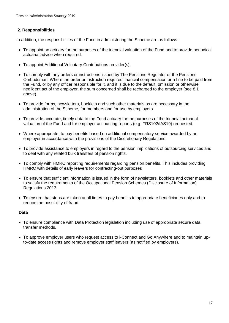#### **2. Responsibilities**

In addition, the responsibilities of the Fund in administering the Scheme are as follows:

- To appoint an actuary for the purposes of the triennial valuation of the Fund and to provide periodical actuarial advice when required.
- To appoint Additional Voluntary Contributions provider(s).
- To comply with any orders or instructions issued by The Pensions Regulator or the Pensions Ombudsman. Where the order or instruction requires financial compensation or a fine to be paid from the Fund, or by any officer responsible for it, and it is due to the default, omission or otherwise negligent act of the employer, the sum concerned shall be recharged to the employer (see 8.1 above).
- To provide forms, newsletters, booklets and such other materials as are necessary in the administration of the Scheme, for members and for use by employers.
- To provide accurate, timely data to the Fund actuary for the purposes of the triennial actuarial valuation of the Fund and for employer accounting reports (e.g. FRS102/IAS19) requested.
- Where appropriate, to pay benefits based on additional compensatory service awarded by an employer in accordance with the provisions of the Discretionary Regulations.
- To provide assistance to employers in regard to the pension implications of outsourcing services and to deal with any related bulk transfers of pension rights.
- To comply with HMRC reporting requirements regarding pension benefits. This includes providing HMRC with details of early leavers for contracting-out purposes
- To ensure that sufficient information is issued in the form of newsletters, booklets and other materials to satisfy the requirements of the Occupational Pension Schemes (Disclosure of Information) Regulations 2013.
- To ensure that steps are taken at all times to pay benefits to appropriate beneficiaries only and to reduce the possibility of fraud.

#### **Data**

- To ensure compliance with Data Protection legislation including use of appropriate secure data transfer methods.
- To approve employer users who request access to i-Connect and Go Anywhere and to maintain upto-date access rights and remove employer staff leavers (as notified by employers).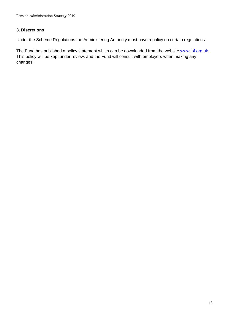## **3. Discretions**

Under the Scheme Regulations the Administering Authority must have a policy on certain regulations.

The Fund has published a policy statement which can be downloaded from the website [www.lpf.org.uk](http://www.lpf.org.uk/). This policy will be kept under review, and the Fund will consult with employers when making any changes.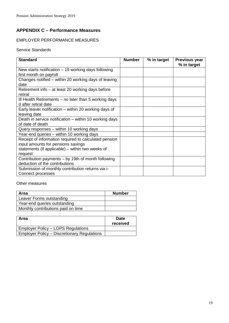## **APPENDIX C – Performance Measures**

## EMPLOYER PERFORMANCE MEASURES

#### Service Standards

| <b>Standard</b>                                        | <b>Number</b> | % in target | <b>Previous year</b><br>% in target |
|--------------------------------------------------------|---------------|-------------|-------------------------------------|
| New starts notification $-19$ working days following   |               |             |                                     |
| first month on payroll                                 |               |             |                                     |
| Changes notified – within 20 working days of leaving   |               |             |                                     |
| date                                                   |               |             |                                     |
| Retirement info – at least 20 working days before      |               |             |                                     |
| retiral                                                |               |             |                                     |
| Ill Health Retirements – no later than 5 working days  |               |             |                                     |
| d after retiral date                                   |               |             |                                     |
| Early leaver notification – within 20 working days of  |               |             |                                     |
| leaving date                                           |               |             |                                     |
| Death in service notification – within 10 working days |               |             |                                     |
| of date of death                                       |               |             |                                     |
| Query responses - within 10 working days               |               |             |                                     |
| Year-end queries - within 10 working days              |               |             |                                     |
| Receipt of information required to calculated pension  |               |             |                                     |
| input amounts for pensions savings                     |               |             |                                     |
| statements (if applicable) – within two weeks of       |               |             |                                     |
| request                                                |               |             |                                     |
| Contribution payments – by 19th of month following     |               |             |                                     |
| deduction of the contributions                         |               |             |                                     |
| Submission of monthly contribution returns via i-      |               |             |                                     |
| Connect processes                                      |               |             |                                     |

#### Other measures

| Area                               | <b>Number</b> |
|------------------------------------|---------------|
| Leaver Forms outstanding           |               |
| Year-end queries outstanding       |               |
| Monthly contributions paid on time |               |

| Area                                               | <b>Date</b><br>received |
|----------------------------------------------------|-------------------------|
| <b>Employer Policy – LGPS Regulations</b>          |                         |
| <b>Employer Policy – Discretionary Regulations</b> |                         |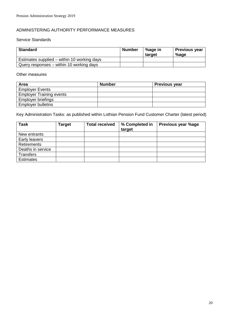#### ADMINISTERING AUTHORITY PERFORMANCE MEASURES

#### Service Standards

| <b>Standard</b>                             | <b>Number</b> | %age in<br>target | <b>Previous year</b><br>%age |
|---------------------------------------------|---------------|-------------------|------------------------------|
| Estimates supplied – within 10 working days |               |                   |                              |
| Query responses – within 10 working days    |               |                   |                              |

#### Other measures

| <b>Area</b>                     | <b>Number</b> | <b>Previous year</b> |
|---------------------------------|---------------|----------------------|
| <b>Employer Events</b>          |               |                      |
| <b>Employer Training events</b> |               |                      |
| Employer briefings              |               |                      |
| <b>Employer bulletins</b>       |               |                      |

Key Administration Tasks: as published within Lothian Pension Fund Customer Charter (latest period)

| <b>Task</b>       | Target | <b>Total received</b> | % Completed in<br>target | <b>Previous year %age</b> |
|-------------------|--------|-----------------------|--------------------------|---------------------------|
| New entrants      |        |                       |                          |                           |
| Early leavers     |        |                       |                          |                           |
| Retirements       |        |                       |                          |                           |
| Deaths in service |        |                       |                          |                           |
| <b>Transfers</b>  |        |                       |                          |                           |
| <b>Estimates</b>  |        |                       |                          |                           |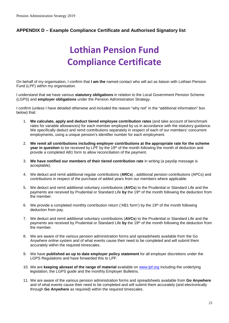## **APPENDIX D – Example Compliance Certificate and Authorised Signatory list**

# **Lothian Pension Fund Compliance Certificate**

On behalf of my organisation, I confirm that **I am the** named contact who will act as liaison with Lothian Pension Fund (LPF) within my organisation.

I understand that we have various **statutory obligations** in relation to the Local Government Pension Scheme (LGPS) and **employer obligations** under the Pension Administration Strategy.

I confirm (unless I have detailed otherwise and included the reason "why not" in the "additional information" box below) that:

- 1. **We calculate, apply and deduct tiered employee contribution rates** (and take account of benchmark rates for variable allowances) for each member employed by us in accordance with the statutory guidance. We specifically deduct and remit contributions separately in respect of each of our members' concurrent employments, using a unique pension's identifier number for each employment.
- 2. **We remit all contributions including employer contributions at the appropriate rate for the scheme year in question** to be received by LPF by the 19<sup>th</sup> of the month following the month of deduction and provide a completed AB1 form to allow reconciliation of the payment.
- 3. **We have notified our members of their tiered contribution rate** in writing (a payslip message is acceptable).
- 4. We deduct and remit additional regular contributions (**ARCs**) , additional pension contributions (APCs) and contributions in respect of the purchase of added years from our members where applicable.
- 5. We deduct and remit additional voluntary contributions (**AVCs**) to the Prudential or Standard Life and the payments are received by Prudential or Standard Life **by** the 19th of the month following the deduction from the member.
- 6. We provide a completed monthly contribution return ('AB1 form') by the 19th of the month following deduction from pay.
- 7. We deduct and remit additional voluntary contributions (**AVCs**) to the Prudential or Standard Life and the payments are received by Prudential or Standard Life **by** the 19th of the month following the deduction from the member.
- 8. We are aware of the various pension administration forms and spreadsheets available from the Go Anywhere online system and of what events cause their need to be completed and will submit them accurately within the required timescales.
- 9. We have **published an up to date employer policy statement** for all employer discretions under the LGPS Regulations and have forwarded this to LPF.
- 10. We are **keeping abreast of the range of material** available on [www.lpf.org](file://corpad.corp.edinburgh.gov.uk/departments/Fin/Invest/DivisionWide/Governance/Pensions%20Committee/2013/September%202013/Draft%20Documents%20September%20Pensions%20Committee%20&%20Audit%20Sub%20Committee/www.lpf.org) including the underlying legislation, the LGPS guide and the monthly Employer Bulletins.
- 11. We are aware of the various pension administration forms and spreadsheets available from **Go Anywhere** and of what events cause their need to be completed and will submit them accurately (and electronically through **[Go](https://portal.lothianpensionfund.org/pages/logon.aspx?ReturnUrl=%2f) Anywhere** as required) within the required timescales.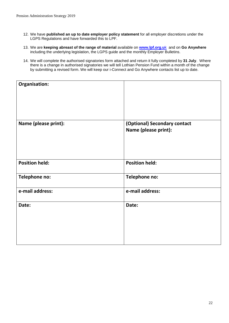- 12. We have **published an up to date employer policy statement** for all employer discretions under the LGPS Regulations and have forwarded this to LPF.
- 13. We are **keeping abreast of the range of material** available on **[www.lpf.org.u](http://www.lpf.org.uk/)**k and on **Go Anywhere** including the underlying legislation, the LGPS guide and the monthly Employer Bulletins.
- 14. We will complete the authorised signatories form attached and return it fully completed by **31 July**. Where there is a change in authorised signatories we will tell Lothian Pension Fund within a month of the change by submitting a revised form. We will keep our i-Connect and Go Anywhere contacts list up to date.

| Organisation:         |                                                      |
|-----------------------|------------------------------------------------------|
| Name (please print):  | (Optional) Secondary contact<br>Name (please print): |
| <b>Position held:</b> | <b>Position held:</b>                                |
| Telephone no:         | Telephone no:                                        |
| e-mail address:       | e-mail address:                                      |
| Date:                 | Date:                                                |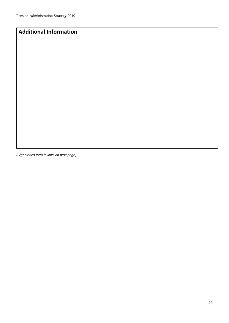## **Additional Information**

*(Signatories form follows on next page)*